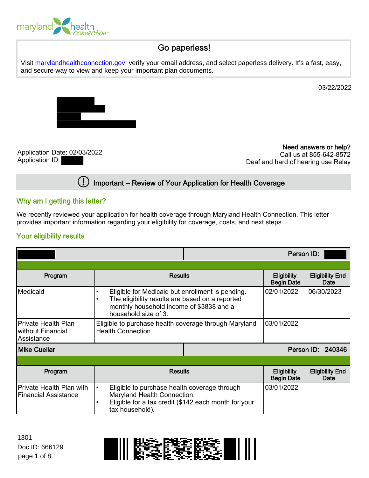

# Go paperless!

Visit [marylandhealthconnection.gov](http://www.marylandhealthconnection.gov/), verify your email address, and select paperless delivery. It's a fast, easy, and secure way to view and keep your important plan documents.

03/22/2022



Application Date: 02/03/2022 Application ID:

Need answers or help? Call us at 855-642-8572 Deaf and hard of hearing use Relay

# Important – Review of Your Application for Health Coverage

# Why am I getting this letter?

We recently reviewed your application for health coverage through Maryland Health Connection. This letter provides important information regarding your eligibility for coverage, costs, and next steps.

# Your eligibility results

|                                                         |                                                                                                                                                                                      | Person ID: |                                         |                                |
|---------------------------------------------------------|--------------------------------------------------------------------------------------------------------------------------------------------------------------------------------------|------------|-----------------------------------------|--------------------------------|
|                                                         |                                                                                                                                                                                      |            |                                         |                                |
| Program                                                 | <b>Results</b>                                                                                                                                                                       |            | <b>Eligibility</b><br><b>Begin Date</b> | <b>Eligibility End</b><br>Date |
| Medicaid                                                | Eligible for Medicaid but enrollment is pending.<br>$\bullet$<br>The eligibility results are based on a reported<br>monthly household income of \$3838 and a<br>household size of 3. |            | 02/01/2022                              | 06/30/2023                     |
| Private Health Plan<br>without Financial<br>Assistance  | Eligible to purchase health coverage through Maryland<br><b>Health Connection</b>                                                                                                    |            | 03/01/2022                              |                                |
| <b>Mike Cuellar</b>                                     |                                                                                                                                                                                      |            |                                         | Person ID: 240346              |
|                                                         |                                                                                                                                                                                      |            |                                         |                                |
| Program                                                 | <b>Results</b>                                                                                                                                                                       |            | <b>Eligibility</b><br><b>Begin Date</b> | <b>Eligibility End</b><br>Date |
| Private Health Plan with<br><b>Financial Assistance</b> | Eligible to purchase health coverage through<br>$\bullet$<br>Maryland Health Connection.<br>Eligible for a tax credit (\$142 each month for your<br>tax household).                  |            | 03/01/2022                              |                                |

1301 Doc ID: 666129 page 1 of 8

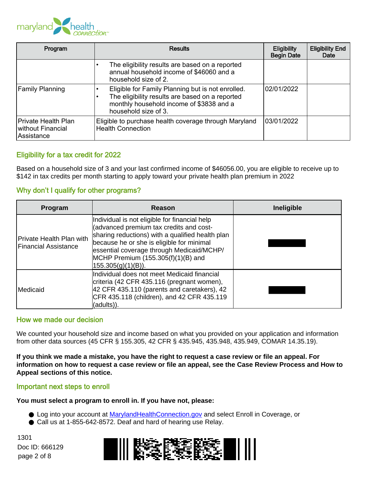

| Program                                                | <b>Results</b>                                                                                                                                                           | <b>Eligibility</b><br><b>Begin Date</b> | <b>Eligibility End</b><br>Date |
|--------------------------------------------------------|--------------------------------------------------------------------------------------------------------------------------------------------------------------------------|-----------------------------------------|--------------------------------|
|                                                        | The eligibility results are based on a reported<br>annual household income of \$46060 and a<br>household size of 2.                                                      |                                         |                                |
| <b>Family Planning</b>                                 | Eligible for Family Planning but is not enrolled.<br>The eligibility results are based on a reported<br>monthly household income of \$3838 and a<br>household size of 3. | 02/01/2022                              |                                |
| Private Health Plan<br>without Financial<br>Assistance | Eligible to purchase health coverage through Maryland<br><b>Health Connection</b>                                                                                        | 03/01/2022                              |                                |

## Eligibility for a tax credit for 2022

Based on a household size of 3 and your last confirmed income of \$46056.00, you are eligible to receive up to \$142 in tax credits per month starting to apply toward your private health plan premium in 2022

## Why don't I qualify for other programs?

| Program                                                 | Reason                                                                                                                                                                                                                                                                                                  | Ineligible |
|---------------------------------------------------------|---------------------------------------------------------------------------------------------------------------------------------------------------------------------------------------------------------------------------------------------------------------------------------------------------------|------------|
| Private Health Plan with<br><b>Financial Assistance</b> | Individual is not eligible for financial help<br>(advanced premium tax credits and cost-<br>sharing reductions) with a qualified health plan<br>because he or she is eligible for minimal<br>essential coverage through Medicaid/MCHP/<br>MCHP Premium $(155.305(f)(1)(B)$ and<br>$155.305(g)(1)(B)$ ). |            |
| Medicaid                                                | Individual does not meet Medicaid financial<br>criteria (42 CFR 435.116 (pregnant women),<br>42 CFR 435.110 (parents and caretakers), 42<br>CFR 435.118 (children), and 42 CFR 435.119<br>(adults)).                                                                                                    |            |

### How we made our decision

We counted your household size and income based on what you provided on your application and information from other data sources (45 CFR § 155.305, 42 CFR § 435.945, 435.948, 435.949, COMAR 14.35.19).

**If you think we made a mistake, you have the right to request a case review or file an appeal. For information on how to request a case review or file an appeal, see the Case Review Process and How to Appeal sections of this notice.**

### Important next steps to enroll

**You must select a program to enroll in. If you have not, please:**

Log into your account at [MarylandHealthConnection.gov](https://www.marylandhealthconnection.gov/) and select Enroll in Coverage, or Call us at 1-855-642-8572. Deaf and hard of hearing use Relay.

1301 Doc ID: 666129 page 2 of 8

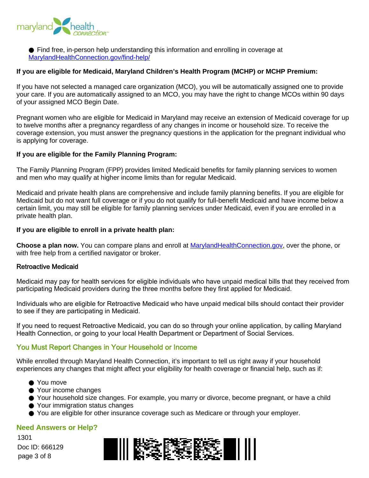

Find free, in-person help understanding this information and enrolling in coverage at [MarylandHealthConnection.gov/find-help/](https://www.marylandhealthconnection.gov/find-help/)

### **If you are eligible for Medicaid, Maryland Children's Health Program (MCHP) or MCHP Premium:**

If you have not selected a managed care organization (MCO), you will be automatically assigned one to provide your care. If you are automatically assigned to an MCO, you may have the right to change MCOs within 90 days of your assigned MCO Begin Date.

Pregnant women who are eligible for Medicaid in Maryland may receive an extension of Medicaid coverage for up to twelve months after a pregnancy regardless of any changes in income or household size. To receive the coverage extension, you must answer the pregnancy questions in the application for the pregnant individual who is applying for coverage.

#### **If you are eligible for the Family Planning Program:**

The Family Planning Program (FPP) provides limited Medicaid benefits for family planning services to women and men who may qualify at higher income limits than for regular Medicaid.

Medicaid and private health plans are comprehensive and include family planning benefits. If you are eligible for Medicaid but do not want full coverage or if you do not qualify for full-benefit Medicaid and have income below a certain limit, you may still be eligible for family planning services under Medicaid, even if you are enrolled in a private health plan.

#### **If you are eligible to enroll in a private health plan:**

**Choose a plan now.** You can compare plans and enroll at [MarylandHealthConnection.gov](https://www.marylandhealthconnection.gov/), over the phone, or with free help from a certified navigator or broker.

#### Retroactive Medicaid

Medicaid may pay for health services for eligible individuals who have unpaid medical bills that they received from participating Medicaid providers during the three months before they first applied for Medicaid.

Individuals who are eligible for Retroactive Medicaid who have unpaid medical bills should contact their provider to see if they are participating in Medicaid.

If you need to request Retroactive Medicaid, you can do so through your online application, by calling Maryland Health Connection, or going to your local Health Department or Department of Social Services.

### You Must Report Changes in Your Household or Income

While enrolled through Maryland Health Connection, it's important to tell us right away if your household experiences any changes that might affect your eligibility for health coverage or financial help, such as if:

 You move Your income changes Your household size changes. For example, you marry or divorce, become pregnant, or have a child Your immigration status changes You are eligible for other insurance coverage such as Medicare or through your employer.

### **Need Answers or Help?**

1301 Doc ID: 666129 page 3 of 8

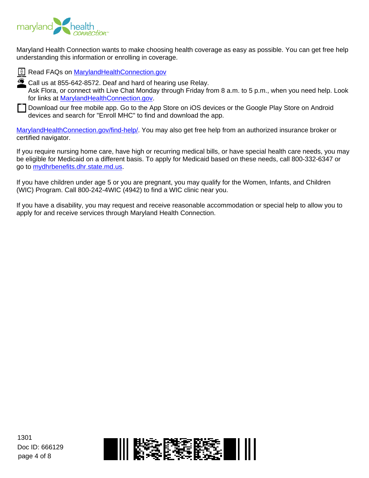

Maryland Health Connection wants to make choosing health coverage as easy as possible. You can get free help understanding this information or enrolling in coverage.

Read FAQs on [MarylandHealthConnection.gov](https://www.marylandhealthconnection.gov/)

Call us at 855-642-8572. Deaf and hard of hearing use Relay. Ask Flora, or connect with Live Chat Monday through Friday from 8 a.m. to 5 p.m., when you need help. Look for links at [MarylandHealthConnection.gov](https://www.marylandhealthconnection.gov/).

Download our free mobile app. Go to the App Store on iOS devices or the Google Play Store on Android devices and search for "Enroll MHC" to find and download the app.

[MarylandHealthConnection.gov/find-help/](https://www.marylandhealthconnection.gov/find-help/). You may also get free help from an authorized insurance broker or certified navigator.

If you require nursing home care, have high or recurring medical bills, or have special health care needs, you may be eligible for Medicaid on a different basis. To apply for Medicaid based on these needs, call 800-332-6347 or go to [mydhrbenefits.dhr.state.md.us](https://mymdthink.maryland.gov/home/#/).

If you have children under age 5 or you are pregnant, you may qualify for the Women, Infants, and Children (WIC) Program. Call 800-242-4WIC (4942) to find a WIC clinic near you.

If you have a disability, you may request and receive reasonable accommodation or special help to allow you to apply for and receive services through Maryland Health Connection.

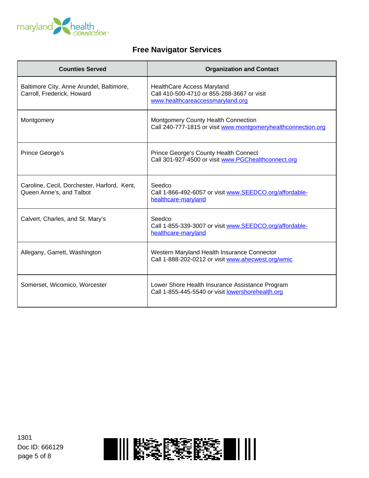

# **Free Navigator Services**

| <b>Counties Served</b>                                                  | <b>Organization and Contact</b>                                                                              |
|-------------------------------------------------------------------------|--------------------------------------------------------------------------------------------------------------|
| Baltimore City, Anne Arundel, Baltimore,<br>Carroll, Frederick, Howard  | HealthCare Access Maryland<br>Call 410-500-4710 or 855-288-3667 or visit<br>www.healthcareaccessmaryland.org |
| Montgomery                                                              | Montgomery County Health Connection<br>Call 240-777-1815 or visit www.montgomeryhealthconnection.org         |
| Prince George's                                                         | Prince George's County Health Connect<br>Call 301-927-4500 or visit www.PGChealthconnect.org                 |
| Caroline, Cecil, Dorchester, Harford, Kent,<br>Queen Anne's, and Talbot | Seedco<br>Call 1-866-492-6057 or visit www.SEEDCO.org/affordable-<br>healthcare-maryland                     |
| Calvert, Charles, and St. Mary's                                        | Seedco<br>Call 1-855-339-3007 or visit www.SEEDCO.org/affordable-<br>healthcare-maryland                     |
| Allegany, Garrett, Washington                                           | Western Maryland Health Insurance Connector<br>Call 1-888-202-0212 or visit www.ahecwest.org/wmic            |
| Somerset, Wicomico, Worcester                                           | Lower Shore Health Insurance Assistance Program<br>Call 1-855-445-5540 or visit lowershorehealth.org         |

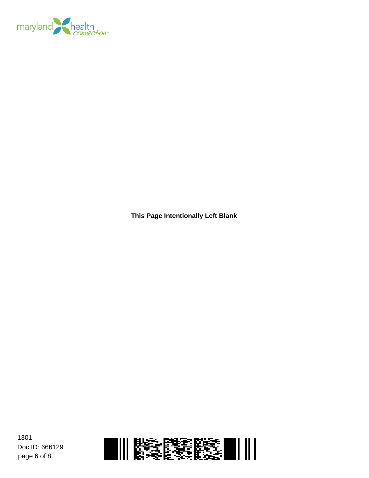

**This Page Intentionally Left Blank**

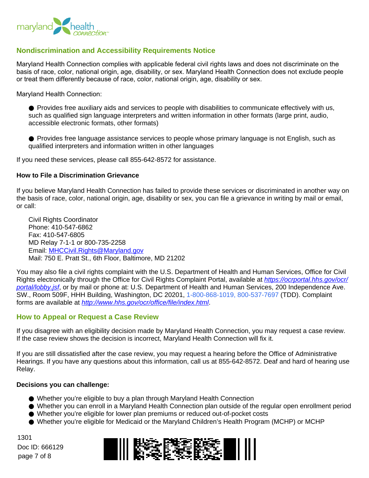

# **Nondiscrimination and Accessibility Requirements Notice**

Maryland Health Connection complies with applicable federal civil rights laws and does not discriminate on the basis of race, color, national origin, age, disability, or sex. Maryland Health Connection does not exclude people or treat them differently because of race, color, national origin, age, disability or sex.

Maryland Health Connection:

 Provides free auxiliary aids and services to people with disabilities to communicate effectively with us, such as qualified sign language interpreters and written information in other formats (large print, audio, accessible electronic formats, other formats)

 Provides free language assistance services to people whose primary language is not English, such as qualified interpreters and information written in other languages

If you need these services, please call 855-642-8572 for assistance.

#### **How to File a Discrimination Grievance**

If you believe Maryland Health Connection has failed to provide these services or discriminated in another way on the basis of race, color, national origin, age, disability or sex, you can file a grievance in writing by mail or email, or call:

Civil Rights Coordinator Phone: 410-547-6862 Fax: 410-547-6805 MD Relay 7-1-1 or 800-735-2258 Email: <MHCCivil.Rights@Maryland.gov> Mail: 750 E. Pratt St., 6th Floor, Baltimore, MD 21202

You may also file a civil rights complaint with the U.S. Department of Health and Human Services, Office for Civil Rights electronically through the Office for Civil Rights Complaint Portal, available at [https://ocrportal.hhs.gov/ocr/](https://ocrportal.hhs.gov/ocr/portal/lobby.jsf) [portal/lobby.jsf](https://ocrportal.hhs.gov/ocr/portal/lobby.jsf), or by mail or phone at: U.S. Department of Health and Human Services, 200 Independence Ave. SW., Room 509F, HHH Building, Washington, DC 20201, 1-800-868-1019, 800-537-7697 (TDD). Complaint forms are available at <http://www.hhs.gov/ocr/office/file/index.html>.

### **How to Appeal or Request a Case Review**

If you disagree with an eligibility decision made by Maryland Health Connection, you may request a case review. If the case review shows the decision is incorrect, Maryland Health Connection will fix it.

If you are still dissatisfied after the case review, you may request a hearing before the Office of Administrative Hearings. If you have any questions about this information, call us at 855-642-8572. Deaf and hard of hearing use Relay.

#### **Decisions you can challenge:**

 Whether you're eligible to buy a plan through Maryland Health Connection Whether you can enroll in a Maryland Health Connection plan outside of the regular open enrollment period Whether you're eligible for lower plan premiums or reduced out-of-pocket costs Whether you're eligible for Medicaid or the Maryland Children's Health Program (MCHP) or MCHP

1301 Doc ID: 666129 page 7 of 8